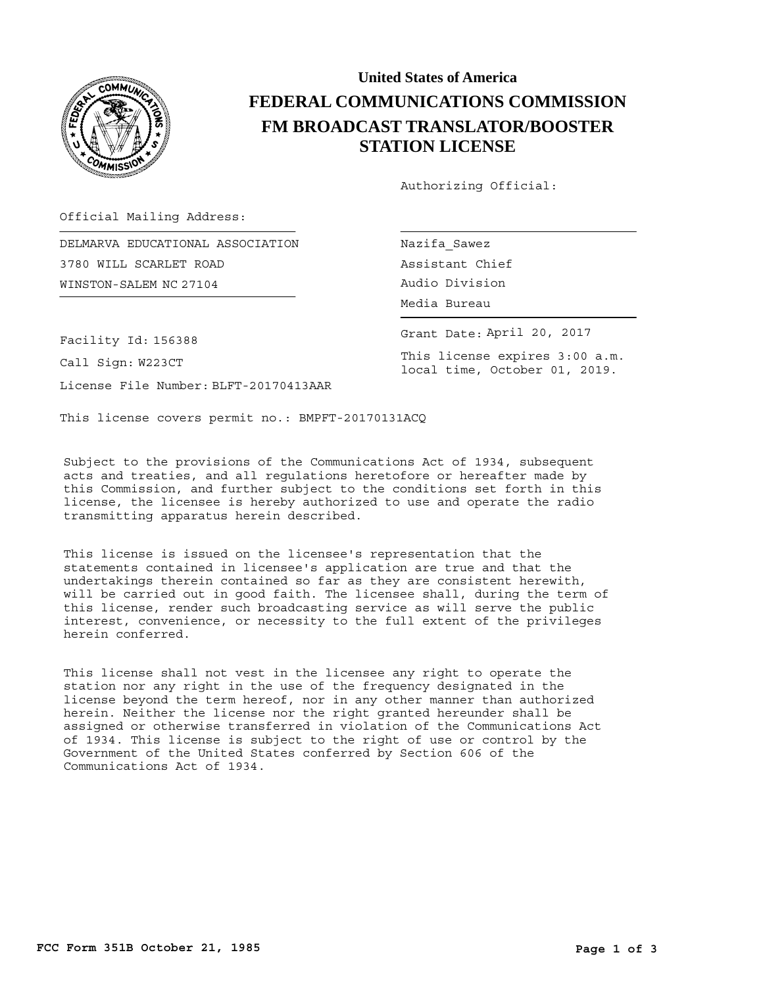

## **United States of America FEDERAL COMMUNICATIONS COMMISSION FM BROADCAST TRANSLATOR/BOOSTER STATION LICENSE**

Authorizing Official:

Official Mailing Address:

WINSTON-SALEM Audio Division NC 27104 DELMARVA EDUCATIONAL ASSOCIATION 3780 WILL SCARLET ROAD

Nazifa\_Sawez Assistant Chief Media Bureau

Call Sign: W223CT Facility Id: 156388 Grant Date: April 20, 2017 This license expires 3:00 a.m.

local time, October 01, 2019.

License File Number: BLFT-20170413AAR

This license covers permit no.: BMPFT-20170131ACQ

Subject to the provisions of the Communications Act of 1934, subsequent acts and treaties, and all regulations heretofore or hereafter made by this Commission, and further subject to the conditions set forth in this license, the licensee is hereby authorized to use and operate the radio transmitting apparatus herein described.

This license is issued on the licensee's representation that the statements contained in licensee's application are true and that the undertakings therein contained so far as they are consistent herewith, will be carried out in good faith. The licensee shall, during the term of this license, render such broadcasting service as will serve the public interest, convenience, or necessity to the full extent of the privileges herein conferred.

This license shall not vest in the licensee any right to operate the station nor any right in the use of the frequency designated in the license beyond the term hereof, nor in any other manner than authorized herein. Neither the license nor the right granted hereunder shall be assigned or otherwise transferred in violation of the Communications Act of 1934. This license is subject to the right of use or control by the Government of the United States conferred by Section 606 of the Communications Act of 1934.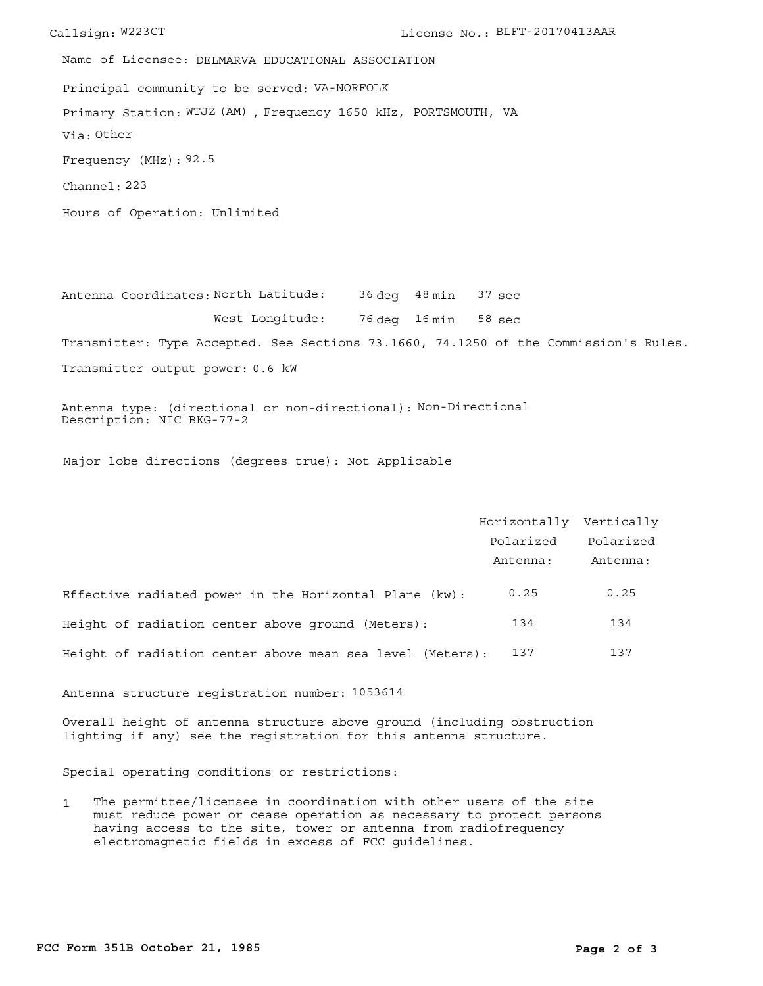```
Callsign: W223CT License No.: BLFT-20170413AAR
 Principal community to be served: VA-NORFOLK
 Hours of Operation: Unlimited
 Frequency (MHz):
92.5
 Via:
Other
 Primary Station: WTJZ (AM), Frequency 1650 kHz, PORTSMOUTH, VA
 Channel: 223
 Name of Licensee: DELMARVA EDUCATIONAL ASSOCIATION
```
Antenna Coordinates: North Latitude: 36 deg 48 min 76 deg 16 min sec 58 West Longitude: 37 sec

Transmitter: Type Accepted. See Sections 73.1660, 74.1250 of the Commission's Rules.

Transmitter output power: 0.6 kW

Antenna type: (directional or non-directional): Non-Directional Description: NIC BKG-77-2

Major lobe directions (degrees true): Not Applicable

|                                                           | Horizontally Vertically |           |
|-----------------------------------------------------------|-------------------------|-----------|
|                                                           | Polarized               | Polarized |
|                                                           | Antenna:                | Antenna:  |
| Effective radiated power in the Horizontal Plane (kw):    | 0.25                    | 0.25      |
| Height of radiation center above ground (Meters):         | 134                     | 134       |
| Height of radiation center above mean sea level (Meters): | 137                     | 137       |

Antenna structure registration number: 1053614

Overall height of antenna structure above ground (including obstruction lighting if any) see the registration for this antenna structure.

Special operating conditions or restrictions:

1 The permittee/licensee in coordination with other users of the site must reduce power or cease operation as necessary to protect persons having access to the site, tower or antenna from radiofrequency electromagnetic fields in excess of FCC guidelines.